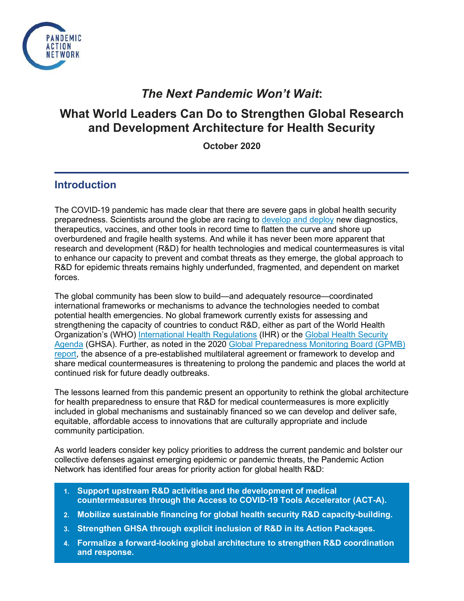

# *The Next Pandemic Won't Wait***:**

# **What World Leaders Can Do to Strengthen Global Research and Development Architecture for Health Security**

**October 2020**

## **Introduction**

The COVID-19 pandemic has made clear that there are severe gaps in global health security preparedness. Scientists around the globe are racing t[o](https://www.ghtcoalition.org/resources-item/covid-19-r-d-tracker) [develop and deploy](https://www.ghtcoalition.org/resources-item/covid-19-r-d-tracker) new diagnostics, therapeutics, vaccines, and other tools in record time to flatten the curve and shore up overburdened and fragile health systems. And while it has never been more apparent that research and development (R&D) for health technologies and medical countermeasures is vital to enhance our capacity to prevent and combat threats as they emerge, the global approach to R&D for epidemic threats remains highly underfunded, fragmented, and dependent on market forces.

The global community has been slow to build—and adequately resource—coordinated international frameworks or mechanisms to advance the technologies needed to combat potential health emergencies. No global framework currently exists for assessing and strengthening the capacity of countries to conduct R&D, either as part of the World Health Organization's (WHO[\)](https://www.who.int/health-topics/international-health-regulations#tab=tab_1) [International Health Regulations](https://www.who.int/health-topics/international-health-regulations#tab=tab_1) (IHR) or th[e](https://ghsagenda.org/) [Global Health Security](https://ghsagenda.org/)  [Agenda](https://ghsagenda.org/) (GHSA). Further, as noted in the 202[0](https://apps.who.int/gpmb/assets/annual_report/GPMB_AR_2020_EN.pdf) [Global Preparedness Monitoring Board \(GPMB\)](https://apps.who.int/gpmb/assets/annual_report/GPMB_AR_2020_EN.pdf)  [report,](https://apps.who.int/gpmb/assets/annual_report/GPMB_AR_2020_EN.pdf) the absence of a pre-established multilateral agreement or framework to develop and share medical countermeasures is threatening to prolong the pandemic and places the world at continued risk for future deadly outbreaks.

The lessons learned from this pandemic present an opportunity to rethink the global architecture for health preparedness to ensure that R&D for medical countermeasures is more explicitly included in global mechanisms and sustainably financed so we can develop and deliver safe, equitable, affordable access to innovations that are culturally appropriate and include community participation.

As world leaders consider key policy priorities to address the current pandemic and bolster our collective defenses against emerging epidemic or pandemic threats, the Pandemic Action Network has identified four areas for priority action for global health R&D:

- **1. Support upstream R&D activities and the development of medical countermeasures through the Access to COVID-19 Tools Accelerator (ACT-A).**
- **2. Mobilize sustainable financing for global health security R&D capacity-building.**
- **3. Strengthen GHSA through explicit inclusion of R&D in its Action Packages.**
- **4. Formalize a forward-looking global architecture to strengthen R&D coordination and response.**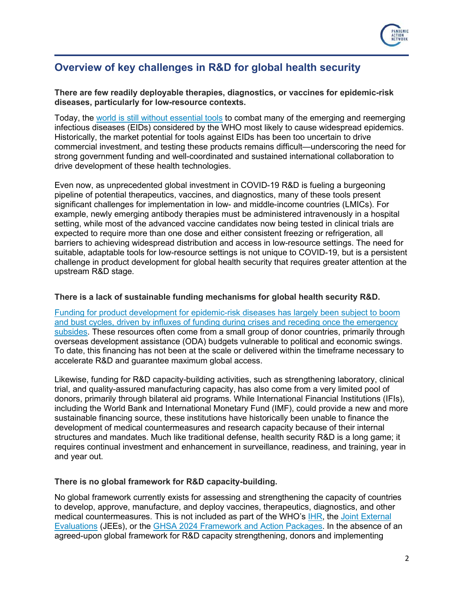

## **Overview of key challenges in R&D for global health security**

**There are few readily deployable therapies, diagnostics, or vaccines for epidemic-risk diseases, particularly for low-resource contexts.** 

Today, the [world is still without essential tools](https://www.ghtcoalition.org/pdf/R-D-for-Emerging-Infectious-Diseases.pdf) to combat many of the emerging and reemerging infectious diseases (EIDs) considered by the WHO most likely to cause widespread epidemics. Historically, the market potential for tools against EIDs has been too uncertain to drive commercial investment, and testing these products remains difficult—underscoring the need for strong government funding and well-coordinated and sustained international collaboration to drive development of these health technologies.

Even now, as unprecedented global investment in COVID-19 R&D is fueling a burgeoning pipeline of potential therapeutics, vaccines, and diagnostics, many of these tools present significant challenges for implementation in low- and middle-income countries (LMICs). For example, newly emerging antibody therapies must be administered intravenously in a hospital setting, while most of the advanced vaccine candidates now being tested in clinical trials are expected to require more than one dose and either consistent freezing or refrigeration, all barriers to achieving widespread distribution and access in low-resource settings. The need for suitable, adaptable tools for low-resource settings is not unique to COVID-19, but is a persistent challenge in product development for global health security that requires greater attention at the upstream R&D stage.

#### **There is a lack of sustainable funding mechanisms for global health security R&D.**

[Funding for product development for epidemic-risk diseases has largely been subject to boom](https://s3-ap-southeast-2.amazonaws.com/policy-cures-website-assets/app/uploads/2020/09/16021708/EID20_Report_Web_1_FINAL.pdf)  [and bust cycles, driven by influxes of funding during crises and receding once the emergency](https://s3-ap-southeast-2.amazonaws.com/policy-cures-website-assets/app/uploads/2020/09/16021708/EID20_Report_Web_1_FINAL.pdf)  [subsides.](https://s3-ap-southeast-2.amazonaws.com/policy-cures-website-assets/app/uploads/2020/09/16021708/EID20_Report_Web_1_FINAL.pdf) These resources often come from a small group of donor countries, primarily through overseas development assistance (ODA) budgets vulnerable to political and economic swings. To date, this financing has not been at the scale or delivered within the timeframe necessary to accelerate R&D and guarantee maximum global access.

Likewise, funding for R&D capacity-building activities, such as strengthening laboratory, clinical trial, and quality-assured manufacturing capacity, has also come from a very limited pool of donors, primarily through bilateral aid programs. While International Financial Institutions (IFIs), including the World Bank and International Monetary Fund (IMF), could provide a new and more sustainable financing source, these institutions have historically been unable to finance the development of medical countermeasures and research capacity because of their internal structures and mandates. Much like traditional defense, health security R&D is a long game; it requires continual investment and enhancement in surveillance, readiness, and training, year in and year out.

#### **There is no global framework for R&D capacity-building.**

No global framework currently exists for assessing and strengthening the capacity of countries to develop, approve, manufacture, and deploy vaccines, therapeutics, diagnostics, and other medical countermeasures. This is not included as part of the WHO's [IHR,](https://www.who.int/health-topics/international-health-regulations) the [Joint External](https://www.who.int/ihr/procedures/joint-external-evaluations/en/)  [Evaluations](https://www.who.int/ihr/procedures/joint-external-evaluations/en/) (JEEs), or the [GHSA 2024 Framework and Action Packages.](https://ghsagenda.org/wp-content/uploads/2020/06/ghsa2024-framework.pdf) In the absence of an agreed-upon global framework for R&D capacity strengthening, donors and implementing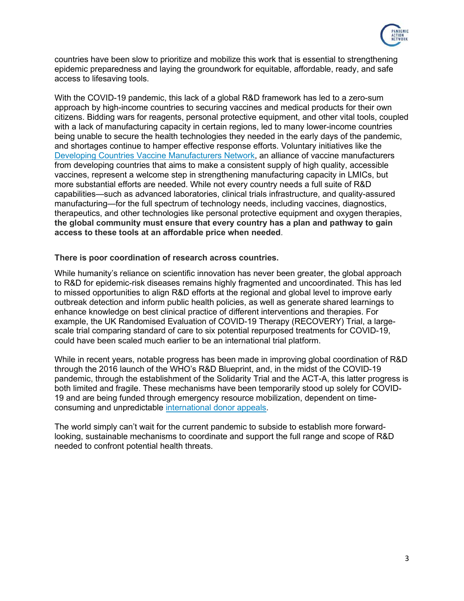

countries have been slow to prioritize and mobilize this work that is essential to strengthening epidemic preparedness and laying the groundwork for equitable, affordable, ready, and safe access to lifesaving tools.

With the COVID-19 pandemic, this lack of a global R&D framework has led to a zero-sum approach by high-income countries to securing vaccines and medical products for their own citizens. Bidding wars for reagents, personal protective equipment, and other vital tools, coupled with a lack of manufacturing capacity in certain regions, led to many lower-income countries being unable to secure the health technologies they needed in the early days of the pandemic, and shortages continue to hamper effective response efforts. Voluntary initiatives like the [Developing Countries Vaccine Manufacturers Network,](https://www.dcvmn.org/) an alliance of vaccine manufacturers from developing countries that aims to make a consistent supply of high quality, accessible vaccines, represent a welcome step in strengthening manufacturing capacity in LMICs, but more substantial efforts are needed. While not every country needs a full suite of R&D capabilities—such as advanced laboratories, clinical trials infrastructure, and quality-assured manufacturing—for the full spectrum of technology needs, including vaccines, diagnostics, therapeutics, and other technologies like personal protective equipment and oxygen therapies, **the global community must ensure that every country has a plan and pathway to gain access to these tools at an affordable price when needed**.

#### **There is poor coordination of research across countries.**

While humanity's reliance on scientific innovation has never been greater, the global approach to R&D for epidemic-risk diseases remains highly fragmented and uncoordinated. This has led to missed opportunities to align R&D efforts at the regional and global level to improve early outbreak detection and inform public health policies, as well as generate shared learnings to enhance knowledge on best clinical practice of different interventions and therapies. For example, the UK Randomised Evaluation of COVID-19 Therapy (RECOVERY) Trial, a largescale trial comparing standard of care to six potential repurposed treatments for COVID-19, could have been scaled much earlier to be an international trial platform.

While in recent years, notable progress has been made in improving global coordination of R&D through the 2016 launch of the WHO's R&D Blueprint, and, in the midst of the COVID-19 pandemic, through the establishment of the Solidarity Trial and the ACT-A, this latter progress is both limited and fragile. These mechanisms have been temporarily stood up solely for COVID-19 and are being funded through emergency resource mobilization, dependent on timeconsuming and unpredictable [international donor appeals.](https://www.who.int/publications/i/item/an-economic-investment-case-financing-requirements)

The world simply can't wait for the current pandemic to subside to establish more forwardlooking, sustainable mechanisms to coordinate and support the full range and scope of R&D needed to confront potential health threats.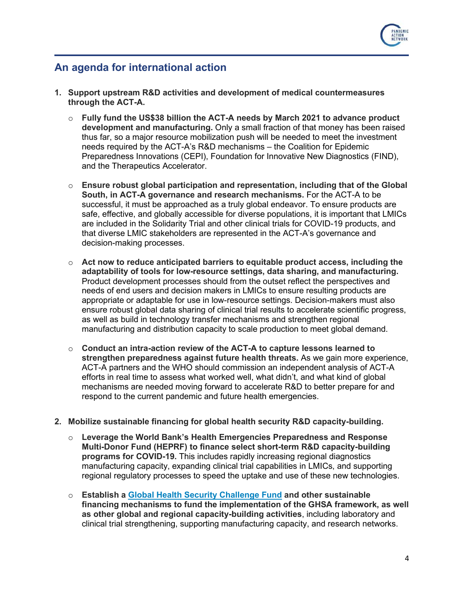

### **An agenda for international action**

- **1. Support upstream R&D activities and development of medical countermeasures through the ACT-A.**
	- o **Fully fund the US\$38 billion the ACT-A needs by March 2021 to advance product development and manufacturing.** Only a small fraction of that money has been raised thus far, so a major resource mobilization push will be needed to meet the investment needs required by the ACT-A's R&D mechanisms – the Coalition for Epidemic Preparedness Innovations (CEPI), Foundation for Innovative New Diagnostics (FIND), and the Therapeutics Accelerator.
	- o **Ensure robust global participation and representation, including that of the Global South, in ACT-A governance and research mechanisms.** For the ACT-A to be successful, it must be approached as a truly global endeavor. To ensure products are safe, effective, and globally accessible for diverse populations, it is important that LMICs are included in the Solidarity Trial and other clinical trials for COVID-19 products, and that diverse LMIC stakeholders are represented in the ACT-A's governance and decision-making processes.
	- o **Act now to reduce anticipated barriers to equitable product access, including the adaptability of tools for low-resource settings, data sharing, and manufacturing.**  Product development processes should from the outset reflect the perspectives and needs of end users and decision makers in LMICs to ensure resulting products are appropriate or adaptable for use in low-resource settings. Decision-makers must also ensure robust global data sharing of clinical trial results to accelerate scientific progress, as well as build in technology transfer mechanisms and strengthen regional manufacturing and distribution capacity to scale production to meet global demand.
	- o **Conduct an intra-action review of the ACT-A to capture lessons learned to strengthen preparedness against future health threats.** As we gain more experience, ACT-A partners and the WHO should commission an independent analysis of ACT-A efforts in real time to assess what worked well, what didn't, and what kind of global mechanisms are needed moving forward to accelerate R&D to better prepare for and respond to the current pandemic and future health emergencies.
- **2. Mobilize sustainable financing for global health security R&D capacity-building.**
	- o **Leverage the World Bank's Health Emergencies Preparedness and Response Multi-Donor Fund (HEPRF) to finance select short-term R&D capacity-building programs for COVID-19.** This includes rapidly increasing regional diagnostics manufacturing capacity, expanding clinical trial capabilities in LMICs, and supporting regional regulatory processes to speed the uptake and use of these new technologies.
	- o **Establish a [Global Health Security Challenge Fund](https://media.nti.org/documents/GHS_Challenge_Fund_Concept_Note_FINAL.PDF) and other sustainable financing mechanisms to fund the implementation of the GHSA framework, as well as other global and regional capacity-building activities**, including laboratory and clinical trial strengthening, supporting manufacturing capacity, and research networks.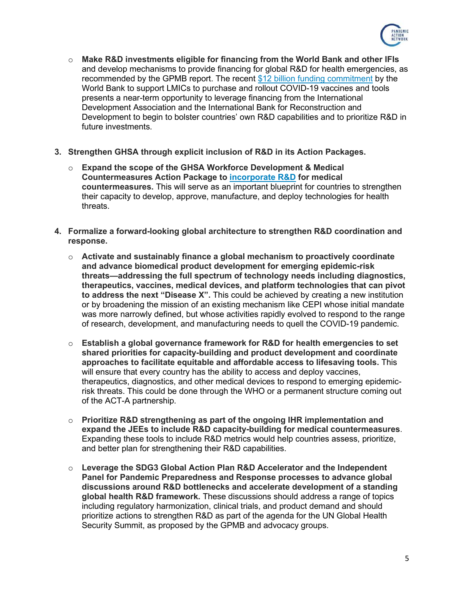

- o **Make R&D investments eligible for financing from the World Bank and other IFIs** and develop mechanisms to provide financing for global R&D for health emergencies, as recommended by the GPMB report. The recent \$12 billion [funding commitment](https://www.worldbank.org/en/news/press-release/2020/10/13/world-bank-approves-12-billion-for-covid-19-vaccines) by the World Bank to support LMICs to purchase and rollout COVID-19 vaccines and tools presents a near-term opportunity to leverage financing from the International Development Association and the International Bank for Reconstruction and Development to begin to bolster countries' own R&D capabilities and to prioritize R&D in future investments.
- **3. Strengthen GHSA through explicit inclusion of R&D in its Action Packages.**
	- o **Expand the scope of the GHSA Workforce Development & Medical Countermeasures Action Package to [incorporate R&D](https://www.ghtcoalition.org/pdf/Revamping-the-GHSA-Workforce-Development-Medical-Countermeasures-Action-Package.pdf) for medical countermeasures.** This will serve as an important blueprint for countries to strengthen their capacity to develop, approve, manufacture, and deploy technologies for health threats.
- **4. Formalize a forward-looking global architecture to strengthen R&D coordination and response.**
	- o **Activate and sustainably finance a global mechanism to proactively coordinate and advance biomedical product development for emerging epidemic-risk threats—addressing the full spectrum of technology needs including diagnostics, therapeutics, vaccines, medical devices, and platform technologies that can pivot to address the next "Disease X".** This could be achieved by creating a new institution or by broadening the mission of an existing mechanism like CEPI whose initial mandate was more narrowly defined, but whose activities rapidly evolved to respond to the range of research, development, and manufacturing needs to quell the COVID-19 pandemic.
	- o **Establish a global governance framework for R&D for health emergencies to set shared priorities for capacity-building and product development and coordinate approaches to facilitate equitable and affordable access to lifesaving tools.** This will ensure that every country has the ability to access and deploy vaccines, therapeutics, diagnostics, and other medical devices to respond to emerging epidemicrisk threats. This could be done through the WHO or a permanent structure coming out of the ACT-A partnership.
	- o **Prioritize R&D strengthening as part of the ongoing IHR implementation and expand the JEEs to include R&D capacity-building for medical countermeasures**. Expanding these tools to include R&D metrics would help countries assess, prioritize, and better plan for strengthening their R&D capabilities.
	- o **Leverage the SDG3 Global Action Plan R&D Accelerator and the Independent Panel for Pandemic Preparedness and Response processes to advance global discussions around R&D bottlenecks and accelerate development of a standing global health R&D framework.** These discussions should address a range of topics including regulatory harmonization, clinical trials, and product demand and should prioritize actions to strengthen R&D as part of the agenda for the UN Global Health Security Summit, as proposed by the GPMB and advocacy groups.